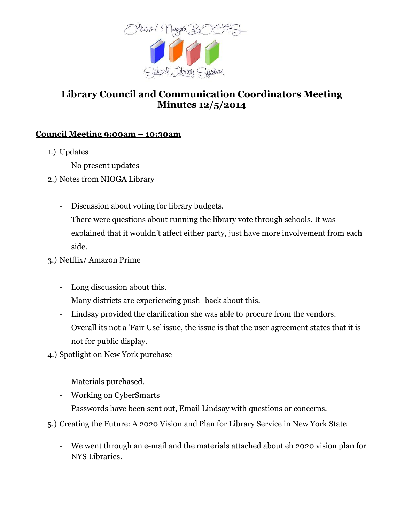

# **Library Council and Communication Coordinators Meeting Minutes 12/5/2014**

## **Council Meeting 9:00am – 10:30am**

- 1.) Updates
	- No present updates
- 2.) Notes from NIOGA Library
	- Discussion about voting for library budgets.
	- There were questions about running the library vote through schools. It was explained that it wouldn't affect either party, just have more involvement from each side.

# 3.) Netflix/ Amazon Prime

- Long discussion about this.
- Many districts are experiencing push- back about this.
- Lindsay provided the clarification she was able to procure from the vendors.
- Overall its not a 'Fair Use' issue, the issue is that the user agreement states that it is not for public display.
- 4.) Spotlight on New York purchase
	- Materials purchased.
	- Working on CyberSmarts
	- Passwords have been sent out, Email Lindsay with questions or concerns.
- 5.) Creating the Future: A 2020 Vision and Plan for Library Service in New York State
	- We went through an e-mail and the materials attached about eh 2020 vision plan for NYS Libraries.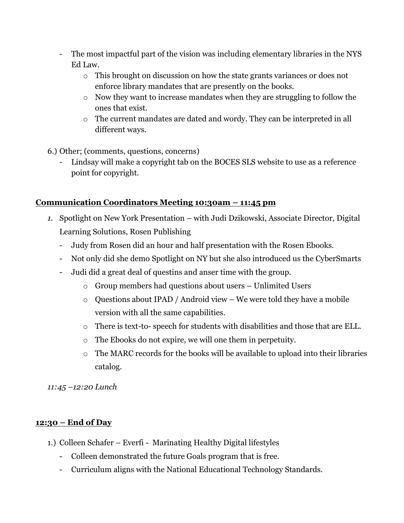- The most impactful part of the vision was including elementary libraries in the NYS Ed Law.
	- o This brought on discussion on how the state grants variances or does not enforce library mandates that are presently on the books.
	- o Now they want to increase mandates when they are struggling to follow the ones that exist.
	- o The current mandates are dated and wordy. They can be interpreted in all different ways.

6.) Other; (comments, questions, concerns)

Lindsay will make a copyright tab on the BOCES SLS website to use as a reference point for copyright.

## **Communication Coordinators Meeting 10:30am – 11:45 pm**

- *1.* Spotlight on New York Presentation with Judi Dzikowski, Associate Director, Digital Learning Solutions, Rosen Publishing
	- Judy from Rosen did an hour and half presentation with the Rosen Ebooks.
	- Not only did she demo Spotlight on NY but she also introduced us the CyberSmarts
	- Judi did a great deal of questins and anser time with the group.
		- o Group members had questions about users Unlimited Users
		- o Questions about IPAD / Android view We were told they have a mobile version with all the same capabilities.
		- o There is text-to- speech for students with disabilities and those that are ELL.
		- o The Ebooks do not expire, we will one them in perpetuity.
		- o The MARC records for the books will be available to upload into their libraries catalog.

*11:45 –12:20 Lunch*

#### **12:30 – End of Day**

- 1.) Colleen Schafer Everfi Marinating Healthy Digital lifestyles
	- Colleen demonstrated the future Goals program that is free.
	- Curriculum aligns with the National Educational Technology Standards.